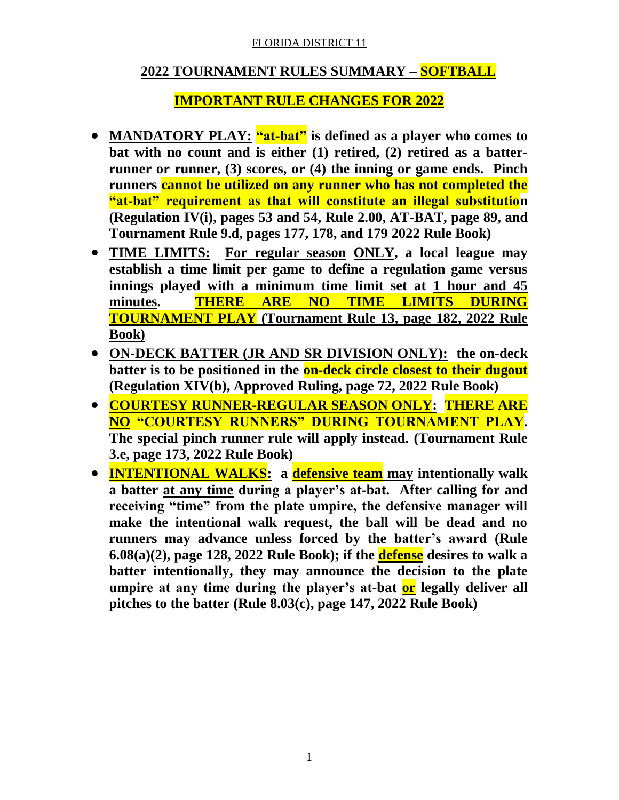### **2022 TOURNAMENT RULES SUMMARY – SOFTBALL**

### **IMPORTANT RULE CHANGES FOR 2022**

- **MANDATORY PLAY: "at-bat" is defined as a player who comes to bat with no count and is either (1) retired, (2) retired as a batterrunner or runner, (3) scores, or (4) the inning or game ends. Pinch runners cannot be utilized on any runner who has not completed the "at-bat" requirement as that will constitute an illegal substitution (Regulation IV(i), pages 53 and 54, Rule 2.00, AT-BAT, page 89, and Tournament Rule 9.d, pages 177, 178, and 179 2022 Rule Book)**
- **TIME LIMITS: For regular season ONLY, a local league may establish a time limit per game to define a regulation game versus innings played with a minimum time limit set at 1 hour and 45 minutes. THERE ARE NO TIME LIMITS DURING TOURNAMENT PLAY (Tournament Rule 13, page 182, 2022 Rule Book)**
- **ON-DECK BATTER (JR AND SR DIVISION ONLY): the on-deck batter is to be positioned in the on-deck circle closest to their dugout (Regulation XIV(b), Approved Ruling, page 72, 2022 Rule Book)**
- **COURTESY RUNNER-REGULAR SEASON ONLY: THERE ARE NO "COURTESY RUNNERS" DURING TOURNAMENT PLAY. The special pinch runner rule will apply instead. (Tournament Rule 3.e, page 173, 2022 Rule Book)**
- **INTENTIONAL WALKS: a defensive team may intentionally walk a batter at any time during a player's at-bat. After calling for and receiving "time" from the plate umpire, the defensive manager will make the intentional walk request, the ball will be dead and no runners may advance unless forced by the batter's award (Rule 6.08(a)(2), page 128, 2022 Rule Book); if the defense desires to walk a batter intentionally, they may announce the decision to the plate umpire at any time during the player's at-bat or legally deliver all pitches to the batter (Rule 8.03(c), page 147, 2022 Rule Book)**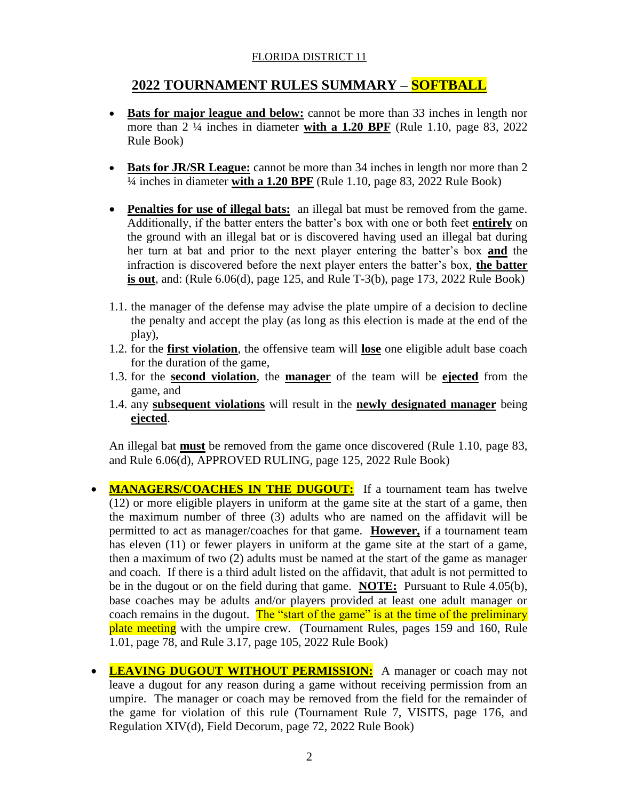### **2022 TOURNAMENT RULES SUMMARY – SOFTBALL**

- **Bats for major league and below:** cannot be more than 33 inches in length nor more than 2 ¼ inches in diameter **with a 1.20 BPF** (Rule 1.10, page 83, 2022 Rule Book)
- **Bats for JR/SR League:** cannot be more than 34 inches in length nor more than 2 ¼ inches in diameter **with a 1.20 BPF** (Rule 1.10, page 83, 2022 Rule Book)
- **Penalties for use of illegal bats:** an illegal bat must be removed from the game. Additionally, if the batter enters the batter's box with one or both feet **entirely** on the ground with an illegal bat or is discovered having used an illegal bat during her turn at bat and prior to the next player entering the batter's box **and** the infraction is discovered before the next player enters the batter's box, **the batter is out**, and: (Rule 6.06(d), page 125, and Rule T-3(b), page 173, 2022 Rule Book)
- 1.1. the manager of the defense may advise the plate umpire of a decision to decline the penalty and accept the play (as long as this election is made at the end of the play),
- 1.2. for the **first violation**, the offensive team will **lose** one eligible adult base coach for the duration of the game,
- 1.3. for the **second violation**, the **manager** of the team will be **ejected** from the game, and
- 1.4. any **subsequent violations** will result in the **newly designated manager** being **ejected**.

An illegal bat **must** be removed from the game once discovered (Rule 1.10, page 83, and Rule 6.06(d), APPROVED RULING, page 125, 2022 Rule Book)

- **MANAGERS/COACHES IN THE DUGOUT:** If a tournament team has twelve (12) or more eligible players in uniform at the game site at the start of a game, then the maximum number of three (3) adults who are named on the affidavit will be permitted to act as manager/coaches for that game. **However,** if a tournament team has eleven (11) or fewer players in uniform at the game site at the start of a game, then a maximum of two (2) adults must be named at the start of the game as manager and coach. If there is a third adult listed on the affidavit, that adult is not permitted to be in the dugout or on the field during that game. **NOTE:** Pursuant to Rule 4.05(b), base coaches may be adults and/or players provided at least one adult manager or coach remains in the dugout. The "start of the game" is at the time of the preliminary plate meeting with the umpire crew. (Tournament Rules, pages 159 and 160, Rule 1.01, page 78, and Rule 3.17, page 105, 2022 Rule Book)
- **LEAVING DUGOUT WITHOUT PERMISSION:** A manager or coach may not leave a dugout for any reason during a game without receiving permission from an umpire. The manager or coach may be removed from the field for the remainder of the game for violation of this rule (Tournament Rule 7, VISITS, page 176, and Regulation XIV(d), Field Decorum, page 72, 2022 Rule Book)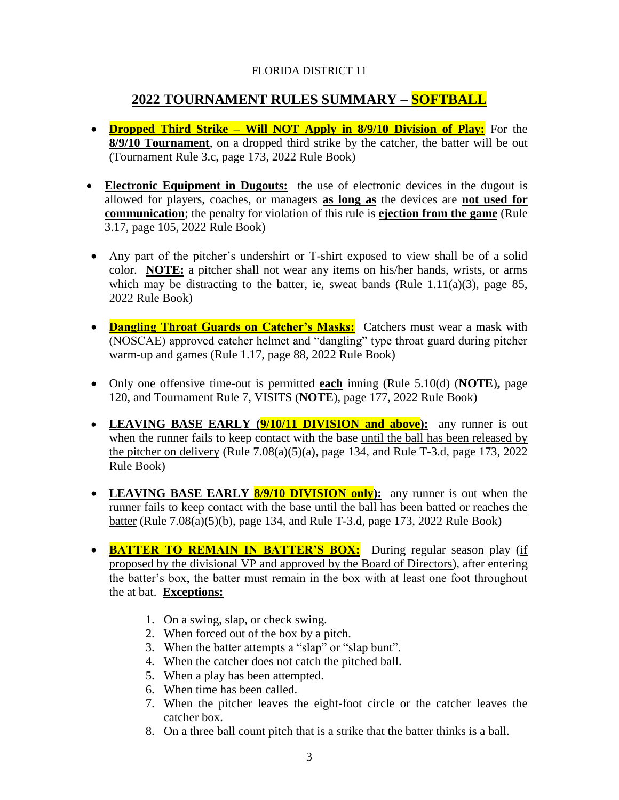### **2022 TOURNAMENT RULES SUMMARY – SOFTBALL**

- **Dropped Third Strike – Will NOT Apply in 8/9/10 Division of Play:** For the **8/9/10 Tournament**, on a dropped third strike by the catcher, the batter will be out (Tournament Rule 3.c, page 173, 2022 Rule Book)
- **Electronic Equipment in Dugouts:** the use of electronic devices in the dugout is allowed for players, coaches, or managers **as long as** the devices are **not used for communication**; the penalty for violation of this rule is **ejection from the game** (Rule 3.17, page 105, 2022 Rule Book)
- Any part of the pitcher's undershirt or T-shirt exposed to view shall be of a solid color. **NOTE:** a pitcher shall not wear any items on his/her hands, wrists, or arms which may be distracting to the batter, ie, sweat bands (Rule 1.11(a)(3), page 85, 2022 Rule Book)
- **Dangling Throat Guards on Catcher's Masks:** Catchers must wear a mask with (NOSCAE) approved catcher helmet and "dangling" type throat guard during pitcher warm-up and games (Rule 1.17, page 88, 2022 Rule Book)
- Only one offensive time-out is permitted **each** inning (Rule 5.10(d) (**NOTE**)**,** page 120, and Tournament Rule 7, VISITS (**NOTE**), page 177, 2022 Rule Book)
- LEAVING BASE EARLY (9/10/11 DIVISION and above): any runner is out when the runner fails to keep contact with the base until the ball has been released by the pitcher on delivery (Rule  $7.08(a)(5)(a)$ , page 134, and Rule T-3.d, page 173, 2022 Rule Book)
- LEAVING BASE EARLY **8/9/10 DIVISION only**): any runner is out when the runner fails to keep contact with the base until the ball has been batted or reaches the batter (Rule 7.08(a)(5)(b), page 134, and Rule T-3.d, page 173, 2022 Rule Book)
- **BATTER TO REMAIN IN BATTER'S BOX:** During regular season play (if proposed by the divisional VP and approved by the Board of Directors), after entering the batter's box, the batter must remain in the box with at least one foot throughout the at bat. **Exceptions:**
	- 1. On a swing, slap, or check swing.
	- 2. When forced out of the box by a pitch.
	- 3. When the batter attempts a "slap" or "slap bunt".
	- 4. When the catcher does not catch the pitched ball.
	- 5. When a play has been attempted.
	- 6. When time has been called.
	- 7. When the pitcher leaves the eight-foot circle or the catcher leaves the catcher box.
	- 8. On a three ball count pitch that is a strike that the batter thinks is a ball.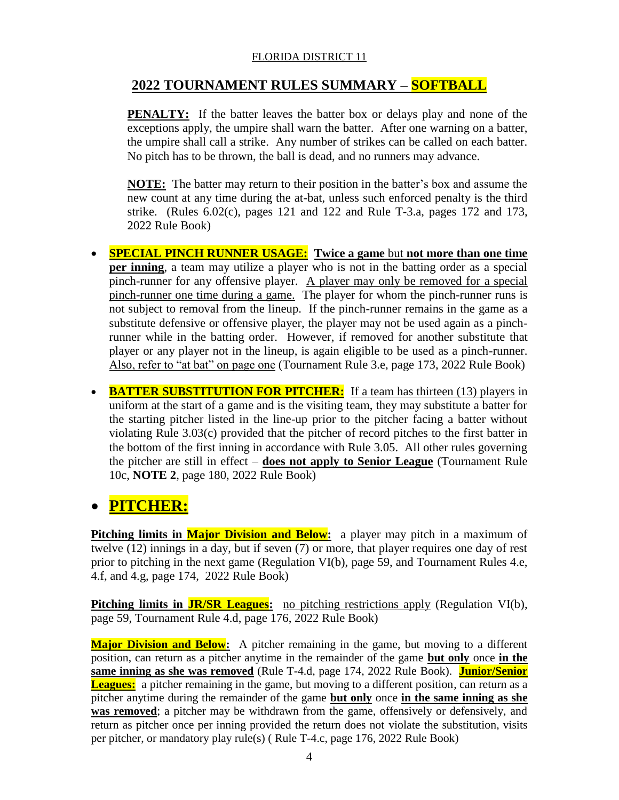# **2022 TOURNAMENT RULES SUMMARY – SOFTBALL**

**PENALTY:** If the batter leaves the batter box or delays play and none of the exceptions apply, the umpire shall warn the batter. After one warning on a batter, the umpire shall call a strike. Any number of strikes can be called on each batter. No pitch has to be thrown, the ball is dead, and no runners may advance.

**NOTE:** The batter may return to their position in the batter's box and assume the new count at any time during the at-bat, unless such enforced penalty is the third strike. (Rules 6.02(c), pages 121 and 122 and Rule T-3.a, pages 172 and 173, 2022 Rule Book)

- **SPECIAL PINCH RUNNER USAGE: Twice a game** but **not more than one time per inning**, a team may utilize a player who is not in the batting order as a special pinch-runner for any offensive player. A player may only be removed for a special pinch-runner one time during a game. The player for whom the pinch-runner runs is not subject to removal from the lineup. If the pinch-runner remains in the game as a substitute defensive or offensive player, the player may not be used again as a pinchrunner while in the batting order. However, if removed for another substitute that player or any player not in the lineup, is again eligible to be used as a pinch-runner. Also, refer to "at bat" on page one (Tournament Rule 3.e, page 173, 2022 Rule Book)
- **BATTER SUBSTITUTION FOR PITCHER:** If a team has thirteen (13) players in uniform at the start of a game and is the visiting team, they may substitute a batter for the starting pitcher listed in the line-up prior to the pitcher facing a batter without violating Rule 3.03(c) provided that the pitcher of record pitches to the first batter in the bottom of the first inning in accordance with Rule 3.05. All other rules governing the pitcher are still in effect – **does not apply to Senior League** (Tournament Rule 10c, **NOTE 2**, page 180, 2022 Rule Book)

# **PITCHER:**

**Pitching limits in Major Division and Below:** a player may pitch in a maximum of twelve (12) innings in a day, but if seven (7) or more, that player requires one day of rest prior to pitching in the next game (Regulation VI(b), page 59, and Tournament Rules 4.e, 4.f, and 4.g, page 174, 2022 Rule Book)

**Pitching limits in JR/SR Leagues:** no pitching restrictions apply (Regulation VI(b), page 59, Tournament Rule 4.d, page 176, 2022 Rule Book)

**Major Division and Below:** A pitcher remaining in the game, but moving to a different position, can return as a pitcher anytime in the remainder of the game **but only** once **in the same inning as she was removed** (Rule T-4.d, page 174, 2022 Rule Book). **Junior/Senior Leagues:** a pitcher remaining in the game, but moving to a different position, can return as a pitcher anytime during the remainder of the game **but only** once **in the same inning as she was removed**; a pitcher may be withdrawn from the game, offensively or defensively, and return as pitcher once per inning provided the return does not violate the substitution, visits per pitcher, or mandatory play rule(s) ( Rule T-4.c, page 176, 2022 Rule Book)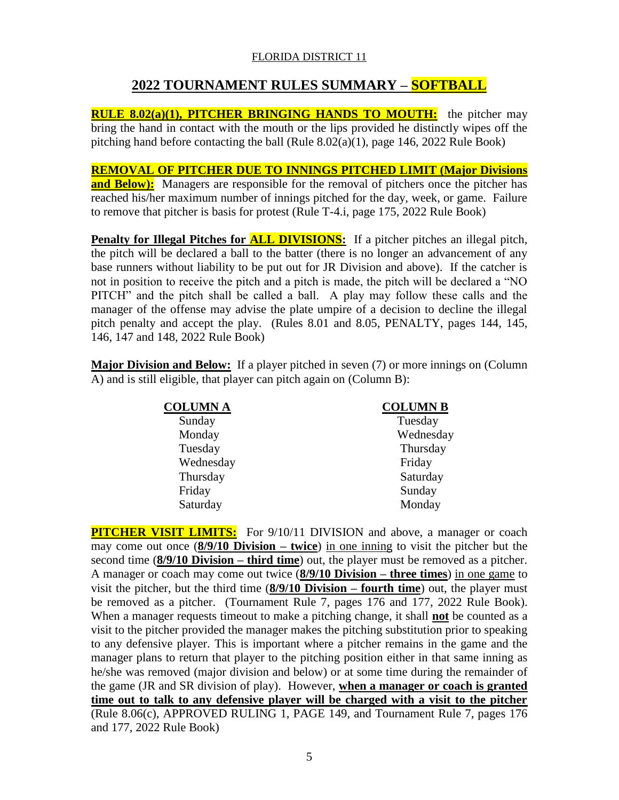## **2022 TOURNAMENT RULES SUMMARY – SOFTBALL**

**RULE 8.02(a)(1), PITCHER BRINGING HANDS TO MOUTH:** the pitcher may bring the hand in contact with the mouth or the lips provided he distinctly wipes off the pitching hand before contacting the ball (Rule 8.02(a)(1), page 146, 2022 Rule Book)

**REMOVAL OF PITCHER DUE TO INNINGS PITCHED LIMIT (Major Divisions and Below):** Managers are responsible for the removal of pitchers once the pitcher has reached his/her maximum number of innings pitched for the day, week, or game. Failure to remove that pitcher is basis for protest (Rule T-4.i, page 175, 2022 Rule Book)

**Penalty for Illegal Pitches for <b>ALL DIVISIONS**: If a pitcher pitches an illegal pitch, the pitch will be declared a ball to the batter (there is no longer an advancement of any base runners without liability to be put out for JR Division and above). If the catcher is not in position to receive the pitch and a pitch is made, the pitch will be declared a "NO PITCH" and the pitch shall be called a ball. A play may follow these calls and the manager of the offense may advise the plate umpire of a decision to decline the illegal pitch penalty and accept the play. (Rules 8.01 and 8.05, PENALTY, pages 144, 145, 146, 147 and 148, 2022 Rule Book)

**Major Division and Below:** If a player pitched in seven (7) or more innings on (Column A) and is still eligible, that player can pitch again on (Column B):

| <b>COLUMN A</b> | <b>COLUMN B</b> |
|-----------------|-----------------|
| Sunday          | Tuesday         |
| Monday          | Wednesday       |
| Tuesday         | Thursday        |
| Wednesday       | Friday          |
| Thursday        | Saturday        |
| Friday          | Sunday          |
| Saturday        | Monday          |

**PITCHER VISIT LIMITS:** For 9/10/11 DIVISION and above, a manager or coach may come out once (**8/9/10 Division – twice**) in one inning to visit the pitcher but the second time (**8/9/10 Division – third time**) out, the player must be removed as a pitcher. A manager or coach may come out twice (**8/9/10 Division – three times**) in one game to visit the pitcher, but the third time (**8/9/10 Division – fourth time**) out, the player must be removed as a pitcher. (Tournament Rule 7, pages 176 and 177, 2022 Rule Book). When a manager requests timeout to make a pitching change, it shall **not** be counted as a visit to the pitcher provided the manager makes the pitching substitution prior to speaking to any defensive player. This is important where a pitcher remains in the game and the manager plans to return that player to the pitching position either in that same inning as he/she was removed (major division and below) or at some time during the remainder of the game (JR and SR division of play). However, **when a manager or coach is granted time out to talk to any defensive player will be charged with a visit to the pitcher** (Rule 8.06(c), APPROVED RULING 1, PAGE 149, and Tournament Rule 7, pages 176 and 177, 2022 Rule Book)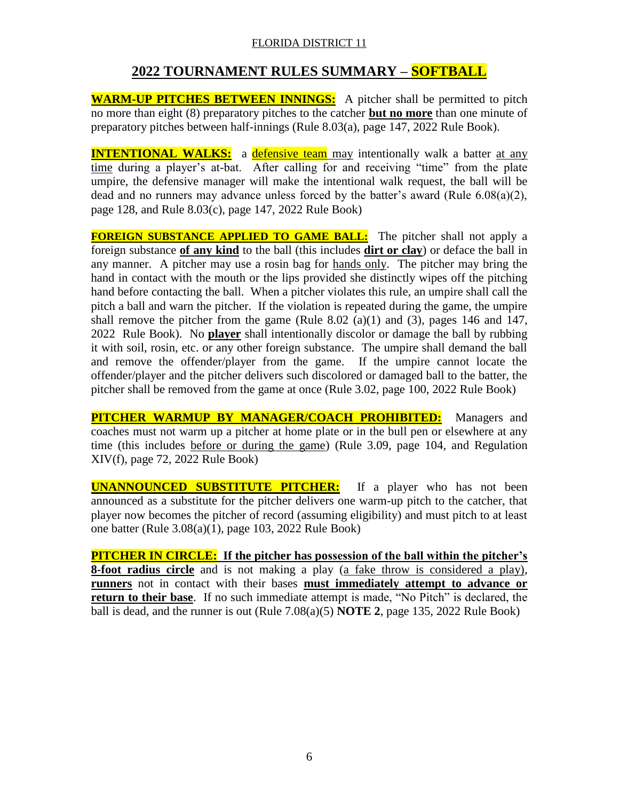### **2022 TOURNAMENT RULES SUMMARY – SOFTBALL**

**WARM-UP PITCHES BETWEEN INNINGS:** A pitcher shall be permitted to pitch no more than eight (8) preparatory pitches to the catcher **but no more** than one minute of preparatory pitches between half-innings (Rule 8.03(a), page 147, 2022 Rule Book).

**INTENTIONAL WALKS:** a defensive team may intentionally walk a batter at any time during a player's at-bat. After calling for and receiving "time" from the plate umpire, the defensive manager will make the intentional walk request, the ball will be dead and no runners may advance unless forced by the batter's award (Rule 6.08(a)(2), page 128, and Rule 8.03(c), page 147, 2022 Rule Book)

**FOREIGN SUBSTANCE APPLIED TO GAME BALL:** The pitcher shall not apply a foreign substance **of any kind** to the ball (this includes **dirt or clay**) or deface the ball in any manner. A pitcher may use a rosin bag for hands only. The pitcher may bring the hand in contact with the mouth or the lips provided she distinctly wipes off the pitching hand before contacting the ball. When a pitcher violates this rule, an umpire shall call the pitch a ball and warn the pitcher. If the violation is repeated during the game, the umpire shall remove the pitcher from the game (Rule  $8.02$  (a)(1) and (3), pages 146 and 147, 2022 Rule Book). No **player** shall intentionally discolor or damage the ball by rubbing it with soil, rosin, etc. or any other foreign substance. The umpire shall demand the ball and remove the offender/player from the game. If the umpire cannot locate the offender/player and the pitcher delivers such discolored or damaged ball to the batter, the pitcher shall be removed from the game at once (Rule 3.02, page 100, 2022 Rule Book)

**PITCHER WARMUP BY MANAGER/COACH PROHIBITED:** Managers and coaches must not warm up a pitcher at home plate or in the bull pen or elsewhere at any time (this includes before or during the game) (Rule 3.09, page 104, and Regulation XIV(f), page 72, 2022 Rule Book)

**UNANNOUNCED SUBSTITUTE PITCHER:** If a player who has not been announced as a substitute for the pitcher delivers one warm-up pitch to the catcher, that player now becomes the pitcher of record (assuming eligibility) and must pitch to at least one batter (Rule 3.08(a)(1), page 103, 2022 Rule Book)

**PITCHER IN CIRCLE: If the pitcher has possession of the ball within the pitcher's 8-foot radius circle** and is not making a play (a fake throw is considered a play), **runners** not in contact with their bases **must immediately attempt to advance or return to their base**. If no such immediate attempt is made, "No Pitch" is declared, the ball is dead, and the runner is out (Rule 7.08(a)(5) **NOTE 2**, page 135, 2022 Rule Book)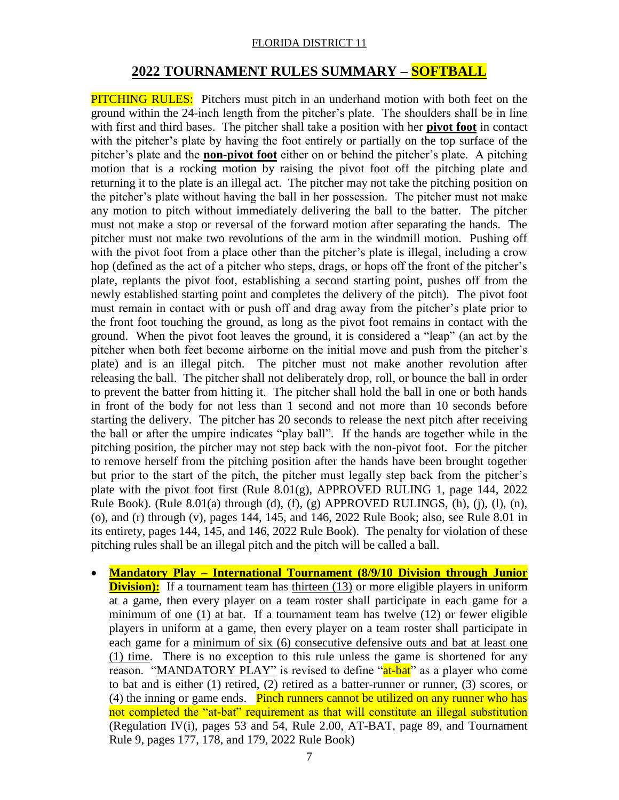### **2022 TOURNAMENT RULES SUMMARY – SOFTBALL**

**PITCHING RULES:** Pitchers must pitch in an underhand motion with both feet on the ground within the 24-inch length from the pitcher's plate. The shoulders shall be in line with first and third bases. The pitcher shall take a position with her **pivot foot** in contact with the pitcher's plate by having the foot entirely or partially on the top surface of the pitcher's plate and the **non-pivot foot** either on or behind the pitcher's plate. A pitching motion that is a rocking motion by raising the pivot foot off the pitching plate and returning it to the plate is an illegal act. The pitcher may not take the pitching position on the pitcher's plate without having the ball in her possession. The pitcher must not make any motion to pitch without immediately delivering the ball to the batter. The pitcher must not make a stop or reversal of the forward motion after separating the hands. The pitcher must not make two revolutions of the arm in the windmill motion. Pushing off with the pivot foot from a place other than the pitcher's plate is illegal, including a crow hop (defined as the act of a pitcher who steps, drags, or hops off the front of the pitcher's plate, replants the pivot foot, establishing a second starting point, pushes off from the newly established starting point and completes the delivery of the pitch). The pivot foot must remain in contact with or push off and drag away from the pitcher's plate prior to the front foot touching the ground, as long as the pivot foot remains in contact with the ground. When the pivot foot leaves the ground, it is considered a "leap" (an act by the pitcher when both feet become airborne on the initial move and push from the pitcher's plate) and is an illegal pitch. The pitcher must not make another revolution after releasing the ball. The pitcher shall not deliberately drop, roll, or bounce the ball in order to prevent the batter from hitting it. The pitcher shall hold the ball in one or both hands in front of the body for not less than 1 second and not more than 10 seconds before starting the delivery. The pitcher has 20 seconds to release the next pitch after receiving the ball or after the umpire indicates "play ball". If the hands are together while in the pitching position, the pitcher may not step back with the non-pivot foot. For the pitcher to remove herself from the pitching position after the hands have been brought together but prior to the start of the pitch, the pitcher must legally step back from the pitcher's plate with the pivot foot first (Rule  $8.01(g)$ , APPROVED RULING 1, page 144, 2022 Rule Book). (Rule  $8.01(a)$  through (d), (f), (g) APPROVED RULINGS, (h), (j), (l), (n), (o), and (r) through (v), pages 144, 145, and 146, 2022 Rule Book; also, see Rule 8.01 in its entirety, pages 144, 145, and 146, 2022 Rule Book). The penalty for violation of these pitching rules shall be an illegal pitch and the pitch will be called a ball.

 **Mandatory Play – International Tournament (8/9/10 Division through Junior Division):** If a tournament team has thirteen (13) or more eligible players in uniform at a game, then every player on a team roster shall participate in each game for a minimum of one (1) at bat. If a tournament team has twelve (12) or fewer eligible players in uniform at a game, then every player on a team roster shall participate in each game for a minimum of six (6) consecutive defensive outs and bat at least one (1) time. There is no exception to this rule unless the game is shortened for any reason. "MANDATORY PLAY" is revised to define "at-bat" as a player who come to bat and is either (1) retired, (2) retired as a batter-runner or runner, (3) scores, or (4) the inning or game ends. Pinch runners cannot be utilized on any runner who has not completed the "at-bat" requirement as that will constitute an illegal substitution (Regulation IV(i), pages 53 and 54, Rule 2.00, AT-BAT, page 89, and Tournament Rule 9, pages 177, 178, and 179, 2022 Rule Book)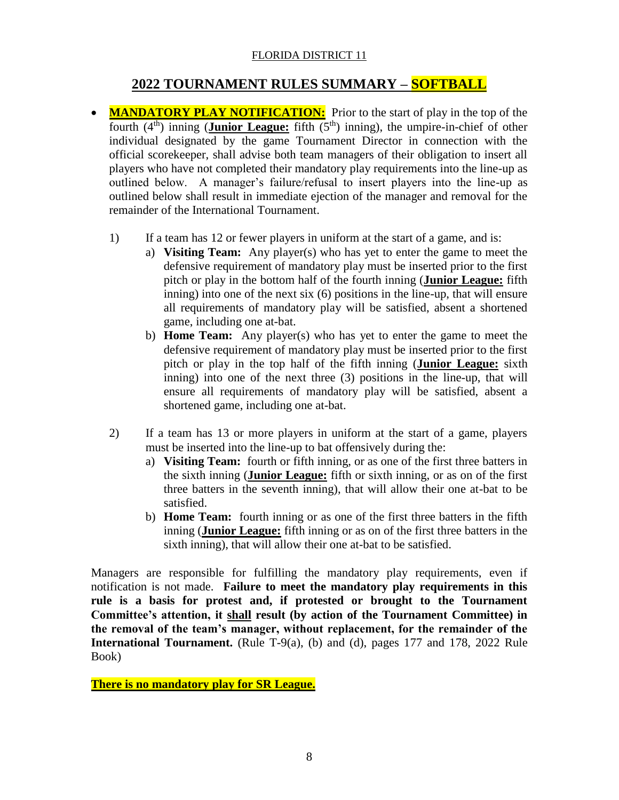### **2022 TOURNAMENT RULES SUMMARY – SOFTBALL**

- **MANDATORY PLAY NOTIFICATION:** Prior to the start of play in the top of the fourth (4<sup>th</sup>) inning (**Junior League:** fifth (5<sup>th</sup>) inning), the umpire-in-chief of other individual designated by the game Tournament Director in connection with the official scorekeeper, shall advise both team managers of their obligation to insert all players who have not completed their mandatory play requirements into the line-up as outlined below. A manager's failure/refusal to insert players into the line-up as outlined below shall result in immediate ejection of the manager and removal for the remainder of the International Tournament.
	- 1) If a team has 12 or fewer players in uniform at the start of a game, and is:
		- a) **Visiting Team:** Any player(s) who has yet to enter the game to meet the defensive requirement of mandatory play must be inserted prior to the first pitch or play in the bottom half of the fourth inning (**Junior League:** fifth inning) into one of the next six (6) positions in the line-up, that will ensure all requirements of mandatory play will be satisfied, absent a shortened game, including one at-bat.
		- b) **Home Team:** Any player(s) who has yet to enter the game to meet the defensive requirement of mandatory play must be inserted prior to the first pitch or play in the top half of the fifth inning (**Junior League:** sixth inning) into one of the next three (3) positions in the line-up, that will ensure all requirements of mandatory play will be satisfied, absent a shortened game, including one at-bat.
	- 2) If a team has 13 or more players in uniform at the start of a game, players must be inserted into the line-up to bat offensively during the:
		- a) **Visiting Team:** fourth or fifth inning, or as one of the first three batters in the sixth inning (**Junior League:** fifth or sixth inning, or as on of the first three batters in the seventh inning), that will allow their one at-bat to be satisfied.
		- b) **Home Team:** fourth inning or as one of the first three batters in the fifth inning (**Junior League:** fifth inning or as on of the first three batters in the sixth inning), that will allow their one at-bat to be satisfied.

Managers are responsible for fulfilling the mandatory play requirements, even if notification is not made. **Failure to meet the mandatory play requirements in this rule is a basis for protest and, if protested or brought to the Tournament Committee's attention, it shall result (by action of the Tournament Committee) in the removal of the team's manager, without replacement, for the remainder of the International Tournament.** (Rule T-9(a), (b) and (d), pages 177 and 178, 2022 Rule Book)

**There is no mandatory play for SR League.**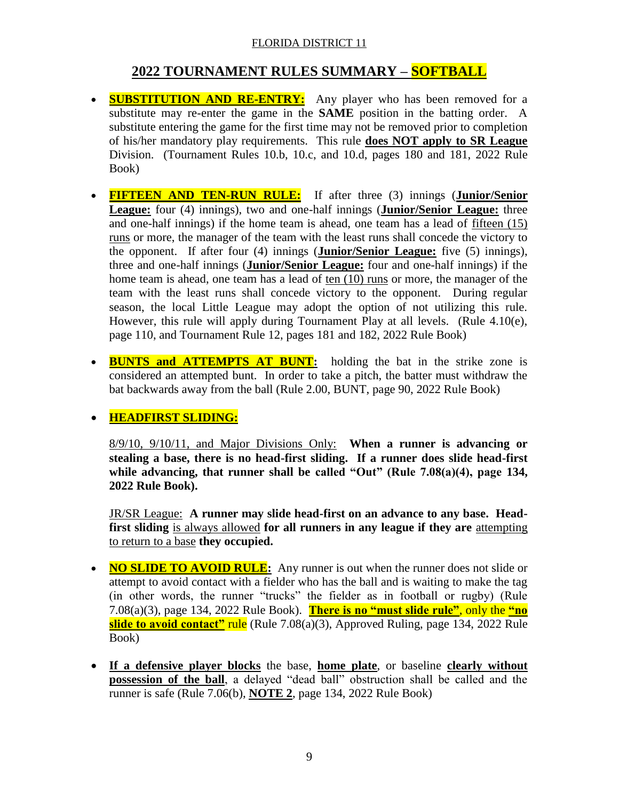### **2022 TOURNAMENT RULES SUMMARY – SOFTBALL**

- **SUBSTITUTION AND RE-ENTRY:** Any player who has been removed for a substitute may re-enter the game in the **SAME** position in the batting order. A substitute entering the game for the first time may not be removed prior to completion of his/her mandatory play requirements. This rule **does NOT apply to SR League** Division. (Tournament Rules 10.b, 10.c, and 10.d, pages 180 and 181, 2022 Rule Book)
- **FIFTEEN AND TEN-RUN RULE:** If after three (3) innings (**Junior/Senior League:** four (4) innings), two and one-half innings (**Junior/Senior League:** three and one-half innings) if the home team is ahead, one team has a lead of fifteen (15) runs or more, the manager of the team with the least runs shall concede the victory to the opponent. If after four (4) innings (**Junior/Senior League:** five (5) innings), three and one-half innings (**Junior/Senior League:** four and one-half innings) if the home team is ahead, one team has a lead of ten (10) runs or more, the manager of the team with the least runs shall concede victory to the opponent. During regular season, the local Little League may adopt the option of not utilizing this rule. However, this rule will apply during Tournament Play at all levels. (Rule 4.10(e), page 110, and Tournament Rule 12, pages 181 and 182, 2022 Rule Book)
- **BUNTS and ATTEMPTS AT BUNT:** holding the bat in the strike zone is considered an attempted bunt. In order to take a pitch, the batter must withdraw the bat backwards away from the ball (Rule 2.00, BUNT, page 90, 2022 Rule Book)

#### **HEADFIRST SLIDING:**

8/9/10, 9/10/11, and Major Divisions Only: **When a runner is advancing or stealing a base, there is no head-first sliding. If a runner does slide head-first while advancing, that runner shall be called "Out" (Rule 7.08(a)(4), page 134, 2022 Rule Book).** 

JR/SR League: **A runner may slide head-first on an advance to any base. Headfirst sliding** is always allowed **for all runners in any league if they are** attempting to return to a base **they occupied.**

- **NO SLIDE TO AVOID RULE:** Any runner is out when the runner does not slide or attempt to avoid contact with a fielder who has the ball and is waiting to make the tag (in other words, the runner "trucks" the fielder as in football or rugby) (Rule 7.08(a)(3), page 134, 2022 Rule Book). **There is no "must slide rule"**, only the **"no slide to avoid contact"** rule (Rule 7.08(a)(3), Approved Ruling, page 134, 2022 Rule Book)
- **If a defensive player blocks** the base, **home plate**, or baseline **clearly without possession of the ball**, a delayed "dead ball" obstruction shall be called and the runner is safe (Rule 7.06(b), **NOTE 2**, page 134, 2022 Rule Book)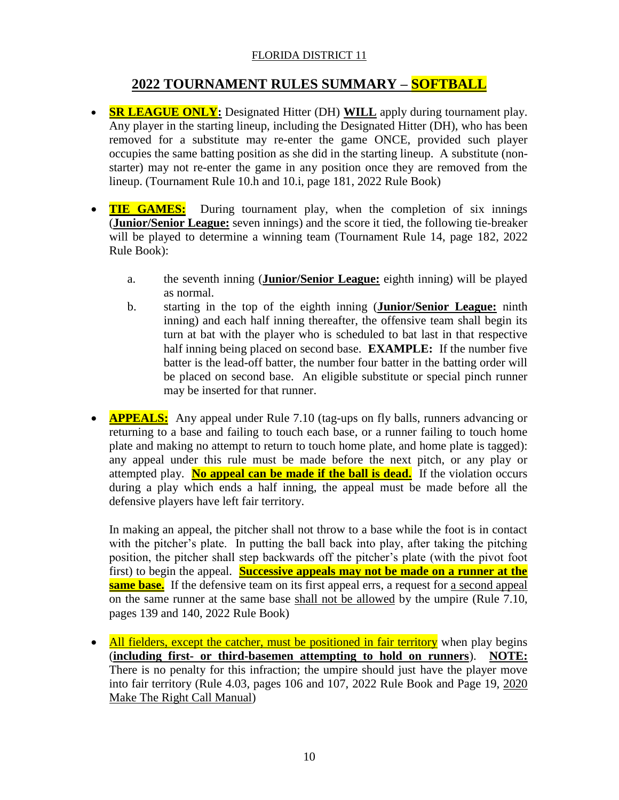### **2022 TOURNAMENT RULES SUMMARY – SOFTBALL**

- **SR LEAGUE ONLY:** Designated Hitter (DH) **WILL** apply during tournament play. Any player in the starting lineup, including the Designated Hitter (DH), who has been removed for a substitute may re-enter the game ONCE, provided such player occupies the same batting position as she did in the starting lineup. A substitute (nonstarter) may not re-enter the game in any position once they are removed from the lineup. (Tournament Rule 10.h and 10.i, page 181, 2022 Rule Book)
- **TIE GAMES:** During tournament play, when the completion of six innings (**Junior/Senior League:** seven innings) and the score it tied, the following tie-breaker will be played to determine a winning team (Tournament Rule 14, page 182, 2022 Rule Book):
	- a. the seventh inning (**Junior/Senior League:** eighth inning) will be played as normal.
	- b. starting in the top of the eighth inning (**Junior/Senior League:** ninth inning) and each half inning thereafter, the offensive team shall begin its turn at bat with the player who is scheduled to bat last in that respective half inning being placed on second base. **EXAMPLE:** If the number five batter is the lead-off batter, the number four batter in the batting order will be placed on second base. An eligible substitute or special pinch runner may be inserted for that runner.
- **APPEALS:** Any appeal under Rule 7.10 (tag-ups on fly balls, runners advancing or returning to a base and failing to touch each base, or a runner failing to touch home plate and making no attempt to return to touch home plate, and home plate is tagged): any appeal under this rule must be made before the next pitch, or any play or attempted play. **No appeal can be made if the ball is dead.** If the violation occurs during a play which ends a half inning, the appeal must be made before all the defensive players have left fair territory.

In making an appeal, the pitcher shall not throw to a base while the foot is in contact with the pitcher's plate. In putting the ball back into play, after taking the pitching position, the pitcher shall step backwards off the pitcher's plate (with the pivot foot first) to begin the appeal. **Successive appeals may not be made on a runner at the same base.** If the defensive team on its first appeal errs, a request for a second appeal on the same runner at the same base shall not be allowed by the umpire (Rule 7.10, pages 139 and 140, 2022 Rule Book)

• All fielders, except the catcher, must be positioned in fair territory when play begins (**including first- or third-basemen attempting to hold on runners**). **NOTE:** There is no penalty for this infraction; the umpire should just have the player move into fair territory (Rule 4.03, pages 106 and 107, 2022 Rule Book and Page 19, 2020 Make The Right Call Manual)